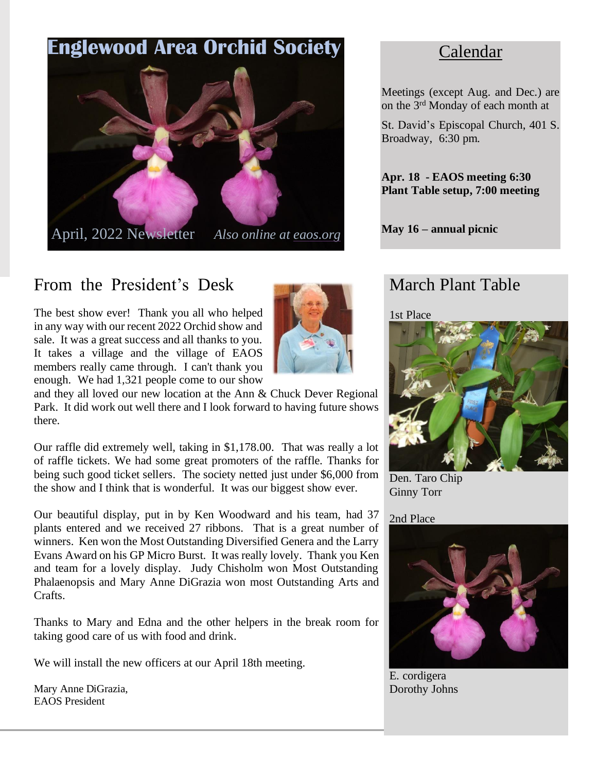

# From the President's Desk

The best show ever! Thank you all who helped in any way with our recent 2022 Orchid show and sale. It was a great success and all thanks to you. It takes a village and the village of EAOS members really came through. I can't thank you enough. We had 1,321 people come to our show



and they all loved our new location at the Ann & Chuck Dever Regional Park. It did work out well there and I look forward to having future shows there.

Our raffle did extremely well, taking in \$1,178.00. That was really a lot of raffle tickets. We had some great promoters of the raffle. Thanks for being such good ticket sellers. The society netted just under \$6,000 from the show and I think that is wonderful. It was our biggest show ever.

Our beautiful display, put in by Ken Woodward and his team, had 37 plants entered and we received 27 ribbons. That is a great number of winners. Ken won the Most Outstanding Diversified Genera and the Larry Evans Award on his GP Micro Burst. It was really lovely. Thank you Ken and team for a lovely display. Judy Chisholm won Most Outstanding Phalaenopsis and Mary Anne DiGrazia won most Outstanding Arts and Crafts.

Thanks to Mary and Edna and the other helpers in the break room for taking good care of us with food and drink.

We will install the new officers at our April 18th meeting.

Mary Anne DiGrazia, EAOS President

# Calendar

Meetings (except Aug. and Dec.) are on the 3<sup>rd</sup> Monday of each month at

St. David's Episcopal Church, 401 S. Broadway, 6:30 pm.

**Apr. 18 - EAOS meeting 6:30 Plant Table setup, 7:00 meeting**

**May 16 – annual picnic**

## March Plant Table

1st Place



Den. Taro Chip Ginny Torr

2nd Place



E. cordigera Dorothy Johns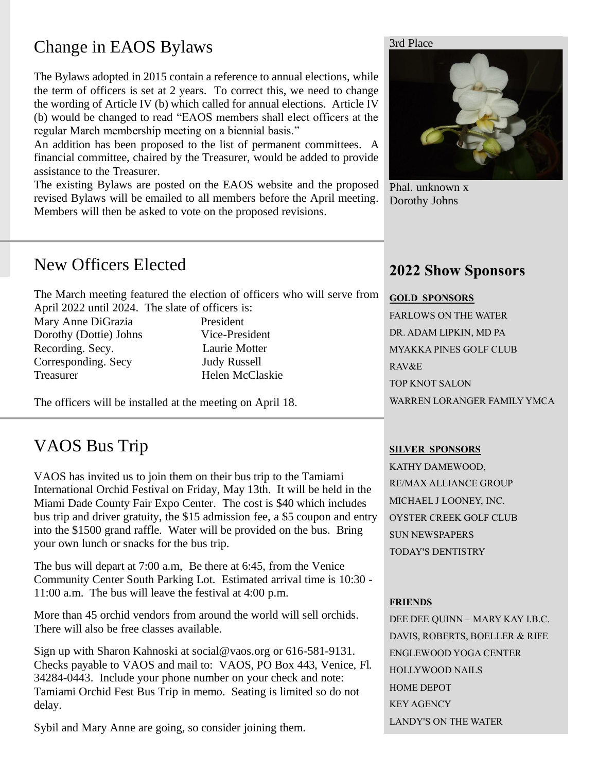# Change in EAOS Bylaws

The Bylaws adopted in 2015 contain a reference to annual elections, while the term of officers is set at 2 years. To correct this, we need to change the wording of Article IV (b) which called for annual elections. Article IV (b) would be changed to read "EAOS members shall elect officers at the regular March membership meeting on a biennial basis."

An addition has been proposed to the list of permanent committees. A financial committee, chaired by the Treasurer, would be added to provide assistance to the Treasurer.

The existing Bylaws are posted on the EAOS website and the proposed revised Bylaws will be emailed to all members before the April meeting. Members will then be asked to vote on the proposed revisions.

#### 3rd Place



Phal. unknown x Dorothy Johns

## New Officers Elected

The March meeting featured the election of officers who will serve from April 2022 until 2024. The slate of officers is:

Mary Anne DiGrazia President Dorothy (Dottie) Johns Vice-President Recording. Secy. Laurie Motter Corresponding. Secy Judy Russell Treasurer Helen McClaskie

The officers will be installed at the meeting on April 18.

# VAOS Bus Trip

VAOS has invited us to join them on their bus trip to the Tamiami International Orchid Festival on Friday, May 13th. It will be held in the Miami Dade County Fair Expo Center. The cost is \$40 which includes bus trip and driver gratuity, the \$15 admission fee, a \$5 coupon and entry into the \$1500 grand raffle. Water will be provided on the bus. Bring your own lunch or snacks for the bus trip.

The bus will depart at 7:00 a.m, Be there at 6:45, from the Venice Community Center South Parking Lot. Estimated arrival time is 10:30 - 11:00 a.m. The bus will leave the festival at 4:00 p.m.

More than 45 orchid vendors from around the world will sell orchids. There will also be free classes available.

Sign up with Sharon Kahnoski at social@vaos.org or 616-581-9131. Checks payable to VAOS and mail to: VAOS, PO Box 443, Venice, Fl. 34284-0443. Include your phone number on your check and note: Tamiami Orchid Fest Bus Trip in memo. Seating is limited so do not delay.

Sybil and Mary Anne are going, so consider joining them.

### **2022 Show Sponsors**

#### **GOLD SPONSORS**

FARLOWS ON THE WATER DR. ADAM LIPKIN, MD PA MYAKKA PINES GOLF CLUB RAV&E TOP KNOT SALON WARREN LORANGER FAMILY YMCA

#### **SILVER SPONSORS**

KATHY DAMEWOOD, RE/MAX ALLIANCE GROUP MICHAEL J LOONEY, INC. OYSTER CREEK GOLF CLUB SUN NEWSPAPERS TODAY'S DENTISTRY

#### **FRIENDS**

DEE DEE QUINN – MARY KAY I.B.C. DAVIS, ROBERTS, BOELLER & RIFE ENGLEWOOD YOGA CENTER HOLLYWOOD NAILS HOME DEPOT KEY AGENCY LANDY'S ON THE WATER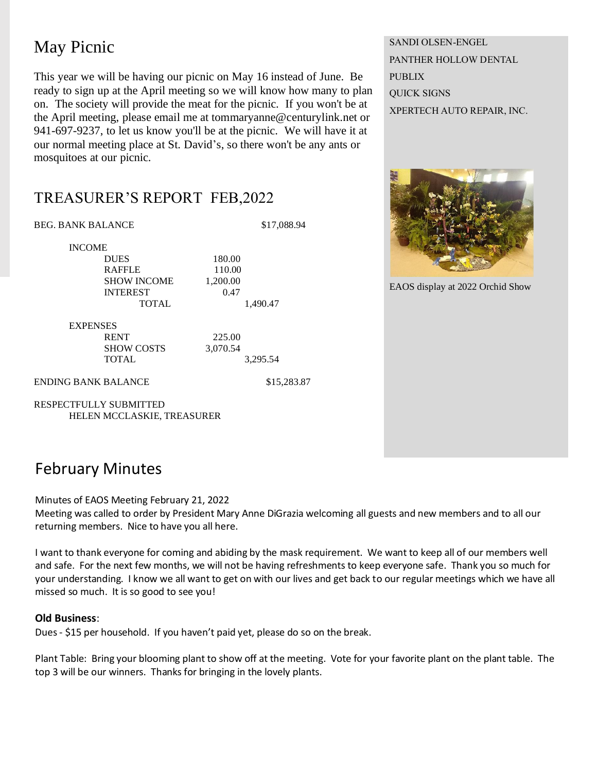# May Picnic

This year we will be having our picnic on May 16 instead of June. Be ready to sign up at the April meeting so we will know how many to plan on. The society will provide the meat for the picnic. If you won't be at the April meeting, please email me at tommaryanne@centurylink.net or 941-697-9237, to let us know you'll be at the picnic. We will have it at our normal meeting place at St. David's, so there won't be any ants or mosquitoes at our picnic.

SANDI OLSEN-ENGEL PANTHER HOLLOW DENTAL PUBLIX QUICK SIGNS XPERTECH AUTO REPAIR, INC.



EAOS display at 2022 Orchid Show

### TREASURER'S REPORT FEB,2022

BEG. BANK BALANCE \$17,088.94

INCOME

DUES 180.00 RAFFLE 110.00 SHOW INCOME 1.200.00 INTEREST 0.47 TOTAL 1.490.47

EXPENSES RENT 225.00

SHOW COSTS 3,070.54 TOTAL 3,295.54

ENDING BANK BALANCE \$15,283.87

RESPECTFULLY SUBMITTED HELEN MCCLASKIE, TREASURER

### February Minutes

Minutes of EAOS Meeting February 21, 2022

Meeting was called to order by President Mary Anne DiGrazia welcoming all guests and new members and to all our returning members. Nice to have you all here.

I want to thank everyone for coming and abiding by the mask requirement. We want to keep all of our members well and safe. For the next few months, we will not be having refreshments to keep everyone safe. Thank you so much for your understanding. I know we all want to get on with our lives and get back to our regular meetings which we have all missed so much. It is so good to see you!

#### **Old Business**:

Dues - \$15 per household. If you haven't paid yet, please do so on the break.

Plant Table: Bring your blooming plant to show off at the meeting. Vote for your favorite plant on the plant table. The top 3 will be our winners. Thanks for bringing in the lovely plants.